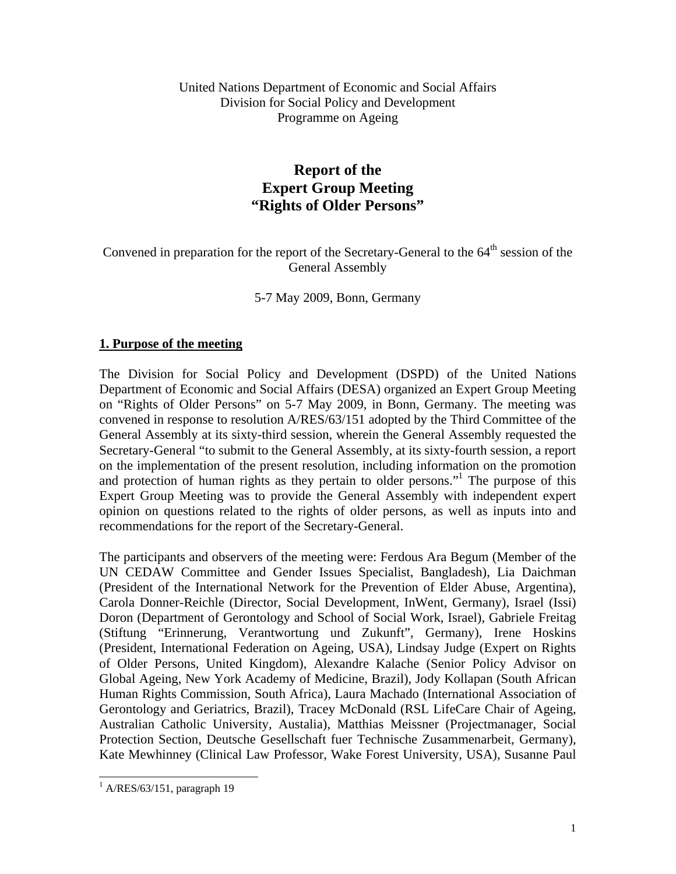# **Report of the Expert Group Meeting "Rights of Older Persons"**

Convened in preparation for the report of the Secretary-General to the  $64<sup>th</sup>$  session of the General Assembly

5-7 May 2009, Bonn, Germany

## **1. Purpose of the meeting**

The Division for Social Policy and Development (DSPD) of the United Nations Department of Economic and Social Affairs (DESA) organized an Expert Group Meeting on "Rights of Older Persons" on 5-7 May 2009, in Bonn, Germany. The meeting was convened in response to resolution A/RES/63/151 adopted by the Third Committee of the General Assembly at its sixty-third session, wherein the General Assembly requested the Secretary-General "to submit to the General Assembly, at its sixty-fourth session, a report on the implementation of the present resolution, including information on the promotion and protection of human rights as they pertain to older persons."<sup>1</sup> The purpose of this Expert Group Meeting was to provide the General Assembly with independent expert opinion on questions related to the rights of older persons, as well as inputs into and recommendations for the report of the Secretary-General.

The participants and observers of the meeting were: Ferdous Ara Begum (Member of the UN CEDAW Committee and Gender Issues Specialist, Bangladesh), Lia Daichman (President of the International Network for the Prevention of Elder Abuse, Argentina), Carola Donner-Reichle (Director, Social Development, InWent, Germany), Israel (Issi) Doron (Department of Gerontology and School of Social Work, Israel), Gabriele Freitag (Stiftung "Erinnerung, Verantwortung und Zukunft", Germany), Irene Hoskins (President, International Federation on Ageing, USA), Lindsay Judge (Expert on Rights of Older Persons, United Kingdom), Alexandre Kalache (Senior Policy Advisor on Global Ageing, New York Academy of Medicine, Brazil), Jody Kollapan (South African Human Rights Commission, South Africa), Laura Machado (International Association of Gerontology and Geriatrics, Brazil), Tracey McDonald (RSL LifeCare Chair of Ageing, Australian Catholic University, Austalia), Matthias Meissner (Projectmanager, Social Protection Section, Deutsche Gesellschaft fuer Technische Zusammenarbeit, Germany), Kate Mewhinney (Clinical Law Professor, Wake Forest University, USA), Susanne Paul

 $\overline{\phantom{a}}$  $<sup>1</sup>$  A/RES/63/151, paragraph 19</sup>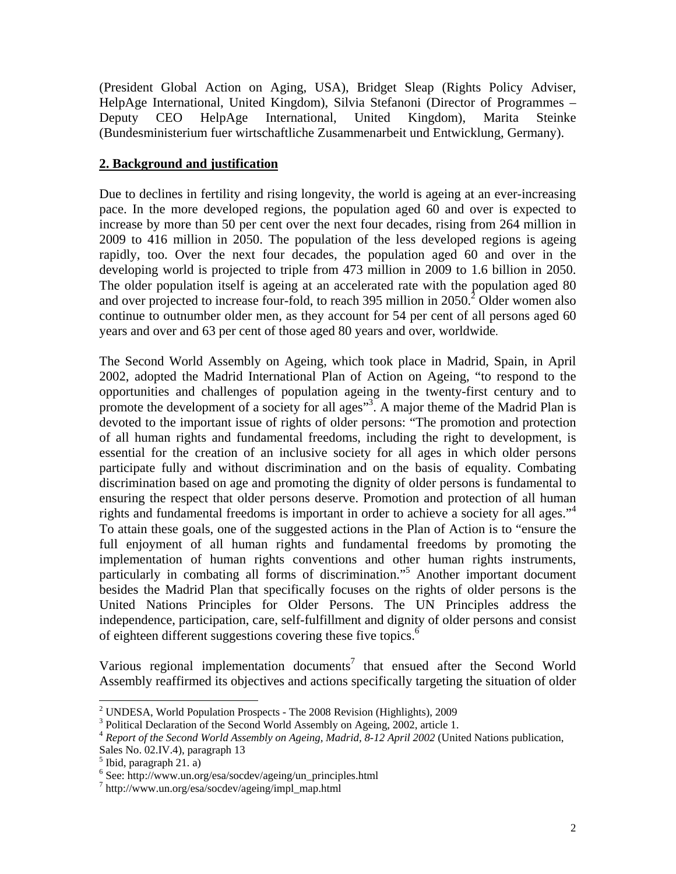(President Global Action on Aging, USA), Bridget Sleap (Rights Policy Adviser, HelpAge International, United Kingdom), Silvia Stefanoni (Director of Programmes – Deputy CEO HelpAge International, United Kingdom), Marita Steinke (Bundesministerium fuer wirtschaftliche Zusammenarbeit und Entwicklung, Germany).

# **2. Background and justification**

Due to declines in fertility and rising longevity, the world is ageing at an ever-increasing pace. In the more developed regions, the population aged 60 and over is expected to increase by more than 50 per cent over the next four decades, rising from 264 million in 2009 to 416 million in 2050. The population of the less developed regions is ageing rapidly, too. Over the next four decades, the population aged 60 and over in the developing world is projected to triple from 473 million in 2009 to 1.6 billion in 2050. The older population itself is ageing at an accelerated rate with the population aged 80 and over projected to increase four-fold, to reach 395 million in  $2050$ <sup>2</sup> Older women also continue to outnumber older men, as they account for 54 per cent of all persons aged 60 years and over and 63 per cent of those aged 80 years and over, worldwide.

The Second World Assembly on Ageing, which took place in Madrid, Spain, in April 2002, adopted the Madrid International Plan of Action on Ageing, "to respond to the opportunities and challenges of population ageing in the twenty-first century and to promote the development of a society for all ages"<sup>3</sup>. A major theme of the Madrid Plan is devoted to the important issue of rights of older persons: "The promotion and protection of all human rights and fundamental freedoms, including the right to development, is essential for the creation of an inclusive society for all ages in which older persons participate fully and without discrimination and on the basis of equality. Combating discrimination based on age and promoting the dignity of older persons is fundamental to ensuring the respect that older persons deserve. Promotion and protection of all human rights and fundamental freedoms is important in order to achieve a society for all ages."4 To attain these goals, one of the suggested actions in the Plan of Action is to "ensure the full enjoyment of all human rights and fundamental freedoms by promoting the implementation of human rights conventions and other human rights instruments, particularly in combating all forms of discrimination."5 Another important document besides the Madrid Plan that specifically focuses on the rights of older persons is the United Nations Principles for Older Persons. The UN Principles address the independence, participation, care, self-fulfillment and dignity of older persons and consist of eighteen different suggestions covering these five topics.<sup>6</sup>

Various regional implementation documents<sup>7</sup> that ensued after the Second World Assembly reaffirmed its objectives and actions specifically targeting the situation of older

 $\overline{\phantom{a}}$ 

<sup>&</sup>lt;sup>2</sup> UNDESA, World Population Prospects - The 2008 Revision (Highlights), 2009

<sup>&</sup>lt;sup>3</sup> Political Declaration of the Second World Assembly on Ageing, 2002, article 1.

<sup>4</sup> *Report of the Second World Assembly on Ageing, Madrid, 8-12 April 2002* (United Nations publication, Sales No. 02.IV.4), paragraph 13

 $<sup>5</sup>$  Ibid, paragraph 21. a)</sup>

 $^6$  See: http://www.un.org/esa/socdev/ageing/un\_principles.html  $^7$  http://www.un.org/esa/socdev/ageing/impl\_map\_html

http://www.un.org/esa/socdev/ageing/impl\_map.html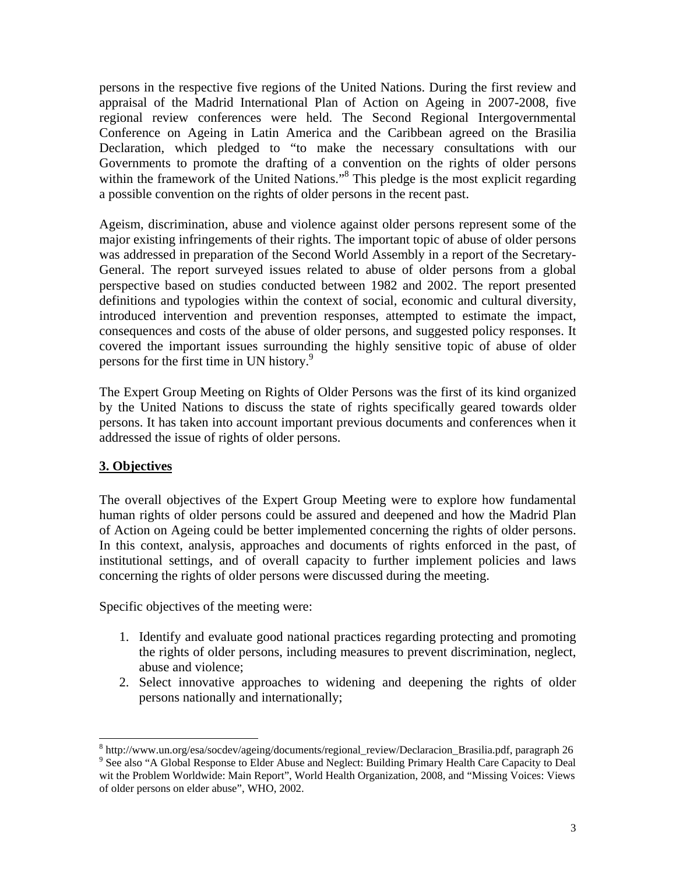persons in the respective five regions of the United Nations. During the first review and appraisal of the Madrid International Plan of Action on Ageing in 2007-2008, five regional review conferences were held. The Second Regional Intergovernmental Conference on Ageing in Latin America and the Caribbean agreed on the Brasilia Declaration, which pledged to "to make the necessary consultations with our Governments to promote the drafting of a convention on the rights of older persons within the framework of the United Nations."<sup>8</sup> This pledge is the most explicit regarding a possible convention on the rights of older persons in the recent past.

Ageism, discrimination, abuse and violence against older persons represent some of the major existing infringements of their rights. The important topic of abuse of older persons was addressed in preparation of the Second World Assembly in a report of the Secretary-General. The report surveyed issues related to abuse of older persons from a global perspective based on studies conducted between 1982 and 2002. The report presented definitions and typologies within the context of social, economic and cultural diversity, introduced intervention and prevention responses, attempted to estimate the impact, consequences and costs of the abuse of older persons, and suggested policy responses. It covered the important issues surrounding the highly sensitive topic of abuse of older persons for the first time in UN history.<sup>9</sup>

The Expert Group Meeting on Rights of Older Persons was the first of its kind organized by the United Nations to discuss the state of rights specifically geared towards older persons. It has taken into account important previous documents and conferences when it addressed the issue of rights of older persons.

# **3. Objectives**

 $\overline{\phantom{a}}$ 

The overall objectives of the Expert Group Meeting were to explore how fundamental human rights of older persons could be assured and deepened and how the Madrid Plan of Action on Ageing could be better implemented concerning the rights of older persons. In this context, analysis, approaches and documents of rights enforced in the past, of institutional settings, and of overall capacity to further implement policies and laws concerning the rights of older persons were discussed during the meeting.

Specific objectives of the meeting were:

- 1. Identify and evaluate good national practices regarding protecting and promoting the rights of older persons, including measures to prevent discrimination, neglect, abuse and violence;
- 2. Select innovative approaches to widening and deepening the rights of older persons nationally and internationally;

<sup>&</sup>lt;sup>8</sup> http://www.un.org/esa/socdev/ageing/documents/regional review/Declaracion Brasilia.pdf, paragraph 26 <sup>8</sup> http://www.un.org/esa/socdev/ageing/documents/regional\_review/Declaracion\_Brasilia.pdf, paragraph 26<br><sup>9</sup> See also "A Global Response to Elder Abuse and Neglect: Building Primary Health Care Capacity to Deal wit the Problem Worldwide: Main Report", World Health Organization, 2008, and "Missing Voices: Views of older persons on elder abuse", WHO, 2002.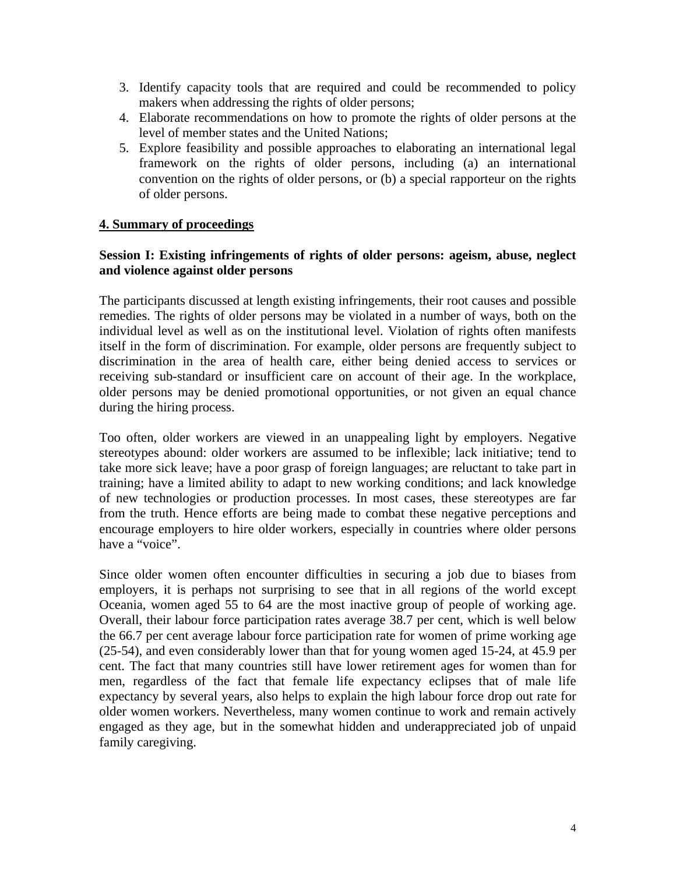- 3. Identify capacity tools that are required and could be recommended to policy makers when addressing the rights of older persons;
- 4. Elaborate recommendations on how to promote the rights of older persons at the level of member states and the United Nations;
- 5. Explore feasibility and possible approaches to elaborating an international legal framework on the rights of older persons, including (a) an international convention on the rights of older persons, or (b) a special rapporteur on the rights of older persons.

## **4. Summary of proceedings**

## **Session I: Existing infringements of rights of older persons: ageism, abuse, neglect and violence against older persons**

The participants discussed at length existing infringements, their root causes and possible remedies. The rights of older persons may be violated in a number of ways, both on the individual level as well as on the institutional level. Violation of rights often manifests itself in the form of discrimination. For example, older persons are frequently subject to discrimination in the area of health care, either being denied access to services or receiving sub-standard or insufficient care on account of their age. In the workplace, older persons may be denied promotional opportunities, or not given an equal chance during the hiring process.

Too often, older workers are viewed in an unappealing light by employers. Negative stereotypes abound: older workers are assumed to be inflexible; lack initiative; tend to take more sick leave; have a poor grasp of foreign languages; are reluctant to take part in training; have a limited ability to adapt to new working conditions; and lack knowledge of new technologies or production processes. In most cases, these stereotypes are far from the truth. Hence efforts are being made to combat these negative perceptions and encourage employers to hire older workers, especially in countries where older persons have a "voice".

Since older women often encounter difficulties in securing a job due to biases from employers, it is perhaps not surprising to see that in all regions of the world except Oceania, women aged 55 to 64 are the most inactive group of people of working age. Overall, their labour force participation rates average 38.7 per cent, which is well below the 66.7 per cent average labour force participation rate for women of prime working age (25-54), and even considerably lower than that for young women aged 15-24, at 45.9 per cent. The fact that many countries still have lower retirement ages for women than for men, regardless of the fact that female life expectancy eclipses that of male life expectancy by several years, also helps to explain the high labour force drop out rate for older women workers. Nevertheless, many women continue to work and remain actively engaged as they age, but in the somewhat hidden and underappreciated job of unpaid family caregiving.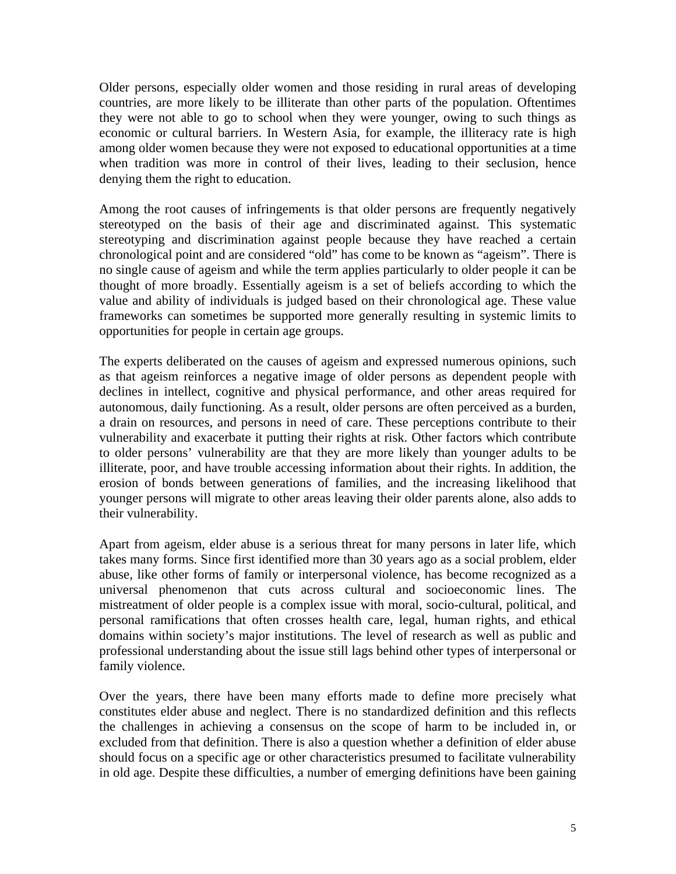Older persons, especially older women and those residing in rural areas of developing countries, are more likely to be illiterate than other parts of the population. Oftentimes they were not able to go to school when they were younger, owing to such things as economic or cultural barriers. In Western Asia, for example, the illiteracy rate is high among older women because they were not exposed to educational opportunities at a time when tradition was more in control of their lives, leading to their seclusion, hence denying them the right to education.

Among the root causes of infringements is that older persons are frequently negatively stereotyped on the basis of their age and discriminated against. This systematic stereotyping and discrimination against people because they have reached a certain chronological point and are considered "old" has come to be known as "ageism". There is no single cause of ageism and while the term applies particularly to older people it can be thought of more broadly. Essentially ageism is a set of beliefs according to which the value and ability of individuals is judged based on their chronological age. These value frameworks can sometimes be supported more generally resulting in systemic limits to opportunities for people in certain age groups.

The experts deliberated on the causes of ageism and expressed numerous opinions, such as that ageism reinforces a negative image of older persons as dependent people with declines in intellect, cognitive and physical performance, and other areas required for autonomous, daily functioning. As a result, older persons are often perceived as a burden, a drain on resources, and persons in need of care. These perceptions contribute to their vulnerability and exacerbate it putting their rights at risk. Other factors which contribute to older persons' vulnerability are that they are more likely than younger adults to be illiterate, poor, and have trouble accessing information about their rights. In addition, the erosion of bonds between generations of families, and the increasing likelihood that younger persons will migrate to other areas leaving their older parents alone, also adds to their vulnerability.

Apart from ageism, elder abuse is a serious threat for many persons in later life, which takes many forms. Since first identified more than 30 years ago as a social problem, elder abuse, like other forms of family or interpersonal violence, has become recognized as a universal phenomenon that cuts across cultural and socioeconomic lines. The mistreatment of older people is a complex issue with moral, socio-cultural, political, and personal ramifications that often crosses health care, legal, human rights, and ethical domains within society's major institutions. The level of research as well as public and professional understanding about the issue still lags behind other types of interpersonal or family violence.

Over the years, there have been many efforts made to define more precisely what constitutes elder abuse and neglect. There is no standardized definition and this reflects the challenges in achieving a consensus on the scope of harm to be included in, or excluded from that definition. There is also a question whether a definition of elder abuse should focus on a specific age or other characteristics presumed to facilitate vulnerability in old age. Despite these difficulties, a number of emerging definitions have been gaining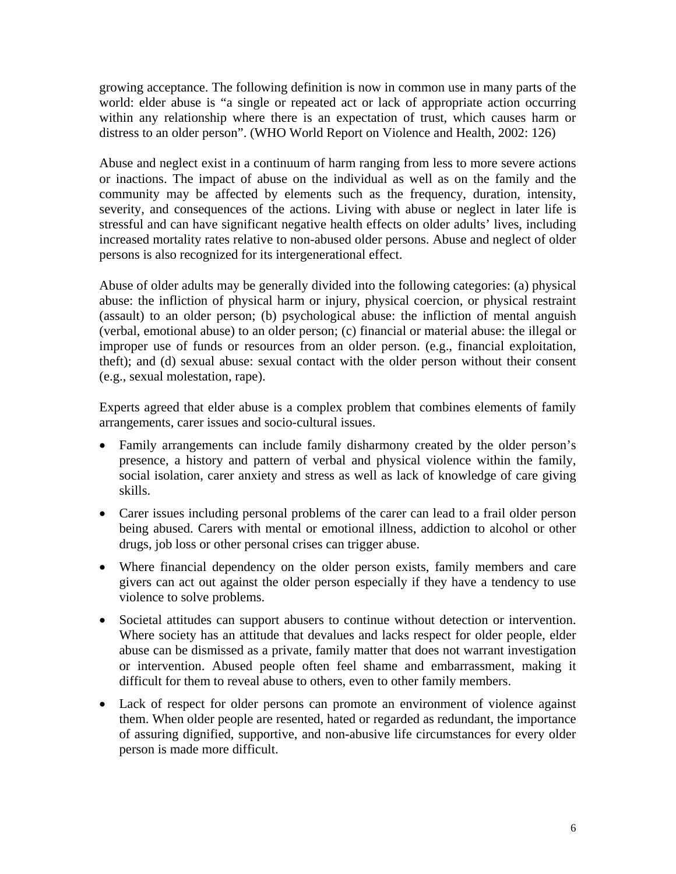growing acceptance. The following definition is now in common use in many parts of the world: elder abuse is "a single or repeated act or lack of appropriate action occurring within any relationship where there is an expectation of trust, which causes harm or distress to an older person". (WHO World Report on Violence and Health, 2002: 126)

Abuse and neglect exist in a continuum of harm ranging from less to more severe actions or inactions. The impact of abuse on the individual as well as on the family and the community may be affected by elements such as the frequency, duration, intensity, severity, and consequences of the actions. Living with abuse or neglect in later life is stressful and can have significant negative health effects on older adults' lives, including increased mortality rates relative to non-abused older persons. Abuse and neglect of older persons is also recognized for its intergenerational effect.

Abuse of older adults may be generally divided into the following categories: (a) physical abuse: the infliction of physical harm or injury, physical coercion, or physical restraint (assault) to an older person; (b) psychological abuse: the infliction of mental anguish (verbal, emotional abuse) to an older person; (c) financial or material abuse: the illegal or improper use of funds or resources from an older person. (e.g., financial exploitation, theft); and (d) sexual abuse: sexual contact with the older person without their consent (e.g., sexual molestation, rape).

Experts agreed that elder abuse is a complex problem that combines elements of family arrangements, carer issues and socio-cultural issues.

- Family arrangements can include family disharmony created by the older person's presence, a history and pattern of verbal and physical violence within the family, social isolation, carer anxiety and stress as well as lack of knowledge of care giving skills.
- Carer issues including personal problems of the carer can lead to a frail older person being abused. Carers with mental or emotional illness, addiction to alcohol or other drugs, job loss or other personal crises can trigger abuse.
- Where financial dependency on the older person exists, family members and care givers can act out against the older person especially if they have a tendency to use violence to solve problems.
- Societal attitudes can support abusers to continue without detection or intervention. Where society has an attitude that devalues and lacks respect for older people, elder abuse can be dismissed as a private, family matter that does not warrant investigation or intervention. Abused people often feel shame and embarrassment, making it difficult for them to reveal abuse to others, even to other family members.
- Lack of respect for older persons can promote an environment of violence against them. When older people are resented, hated or regarded as redundant, the importance of assuring dignified, supportive, and non-abusive life circumstances for every older person is made more difficult.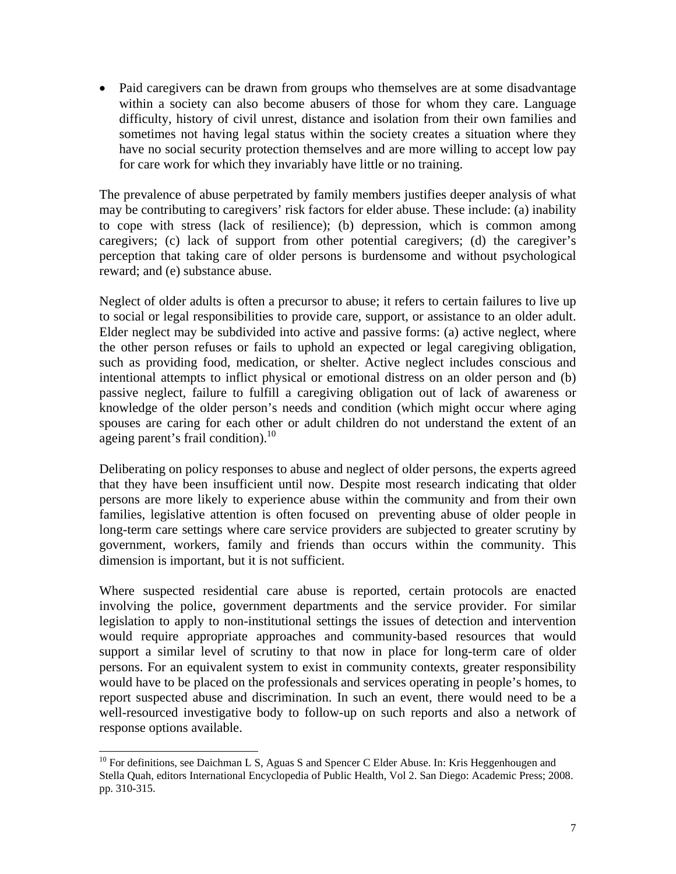• Paid caregivers can be drawn from groups who themselves are at some disadvantage within a society can also become abusers of those for whom they care. Language difficulty, history of civil unrest, distance and isolation from their own families and sometimes not having legal status within the society creates a situation where they have no social security protection themselves and are more willing to accept low pay for care work for which they invariably have little or no training.

The prevalence of abuse perpetrated by family members justifies deeper analysis of what may be contributing to caregivers' risk factors for elder abuse. These include: (a) inability to cope with stress (lack of resilience); (b) depression, which is common among caregivers; (c) lack of support from other potential caregivers; (d) the caregiver's perception that taking care of older persons is burdensome and without psychological reward; and (e) substance abuse.

Neglect of older adults is often a precursor to abuse; it refers to certain failures to live up to social or legal responsibilities to provide care, support, or assistance to an older adult. Elder neglect may be subdivided into active and passive forms: (a) active neglect, where the other person refuses or fails to uphold an expected or legal caregiving obligation, such as providing food, medication, or shelter. Active neglect includes conscious and intentional attempts to inflict physical or emotional distress on an older person and (b) passive neglect, failure to fulfill a caregiving obligation out of lack of awareness or knowledge of the older person's needs and condition (which might occur where aging spouses are caring for each other or adult children do not understand the extent of an ageing parent's frail condition).<sup>10</sup>

Deliberating on policy responses to abuse and neglect of older persons, the experts agreed that they have been insufficient until now. Despite most research indicating that older persons are more likely to experience abuse within the community and from their own families, legislative attention is often focused on preventing abuse of older people in long-term care settings where care service providers are subjected to greater scrutiny by government, workers, family and friends than occurs within the community. This dimension is important, but it is not sufficient.

Where suspected residential care abuse is reported, certain protocols are enacted involving the police, government departments and the service provider. For similar legislation to apply to non-institutional settings the issues of detection and intervention would require appropriate approaches and community-based resources that would support a similar level of scrutiny to that now in place for long-term care of older persons. For an equivalent system to exist in community contexts, greater responsibility would have to be placed on the professionals and services operating in people's homes, to report suspected abuse and discrimination. In such an event, there would need to be a well-resourced investigative body to follow-up on such reports and also a network of response options available.

l

 $10$  For definitions, see Daichman L S, Aguas S and Spencer C Elder Abuse. In: Kris Heggenhougen and Stella Quah, editors International Encyclopedia of Public Health, Vol 2. San Diego: Academic Press; 2008. pp. 310-315.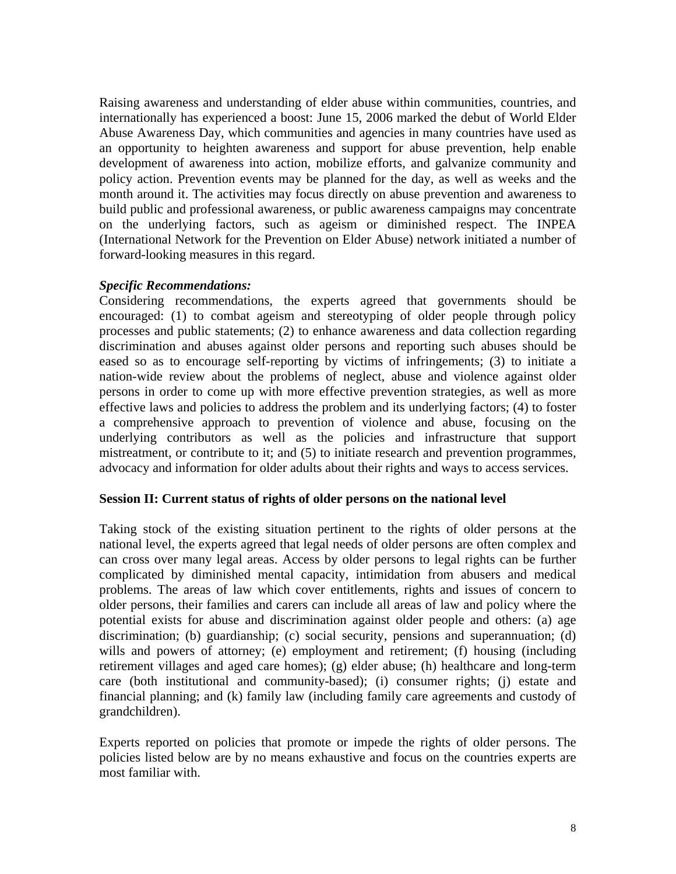Raising awareness and understanding of elder abuse within communities, countries, and internationally has experienced a boost: June 15, 2006 marked the debut of World Elder Abuse Awareness Day, which communities and agencies in many countries have used as an opportunity to heighten awareness and support for abuse prevention, help enable development of awareness into action, mobilize efforts, and galvanize community and policy action. Prevention events may be planned for the day, as well as weeks and the month around it. The activities may focus directly on abuse prevention and awareness to build public and professional awareness, or public awareness campaigns may concentrate on the underlying factors, such as ageism or diminished respect. The INPEA (International Network for the Prevention on Elder Abuse) network initiated a number of forward-looking measures in this regard.

#### *Specific Recommendations:*

Considering recommendations, the experts agreed that governments should be encouraged: (1) to combat ageism and stereotyping of older people through policy processes and public statements; (2) to enhance awareness and data collection regarding discrimination and abuses against older persons and reporting such abuses should be eased so as to encourage self-reporting by victims of infringements; (3) to initiate a nation-wide review about the problems of neglect, abuse and violence against older persons in order to come up with more effective prevention strategies, as well as more effective laws and policies to address the problem and its underlying factors; (4) to foster a comprehensive approach to prevention of violence and abuse, focusing on the underlying contributors as well as the policies and infrastructure that support mistreatment, or contribute to it; and (5) to initiate research and prevention programmes, advocacy and information for older adults about their rights and ways to access services.

#### **Session II: Current status of rights of older persons on the national level**

Taking stock of the existing situation pertinent to the rights of older persons at the national level, the experts agreed that legal needs of older persons are often complex and can cross over many legal areas. Access by older persons to legal rights can be further complicated by diminished mental capacity, intimidation from abusers and medical problems. The areas of law which cover entitlements, rights and issues of concern to older persons, their families and carers can include all areas of law and policy where the potential exists for abuse and discrimination against older people and others: (a) age discrimination; (b) guardianship; (c) social security, pensions and superannuation; (d) wills and powers of attorney; (e) employment and retirement; (f) housing (including retirement villages and aged care homes); (g) elder abuse; (h) healthcare and long-term care (both institutional and community-based); (i) consumer rights; (j) estate and financial planning; and (k) family law (including family care agreements and custody of grandchildren).

Experts reported on policies that promote or impede the rights of older persons. The policies listed below are by no means exhaustive and focus on the countries experts are most familiar with.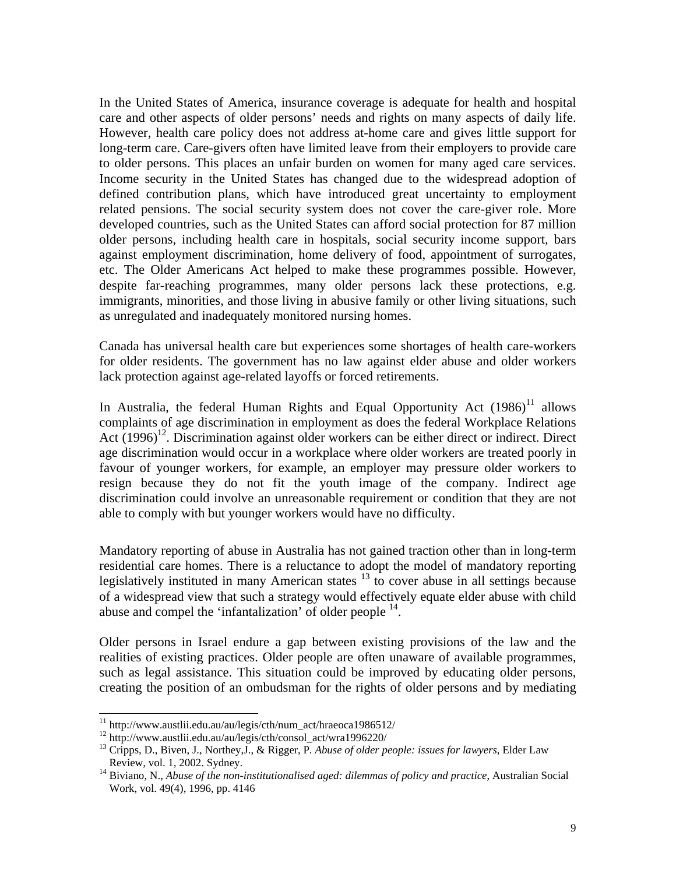In the United States of America, insurance coverage is adequate for health and hospital care and other aspects of older persons' needs and rights on many aspects of daily life. However, health care policy does not address at-home care and gives little support for long-term care. Care-givers often have limited leave from their employers to provide care to older persons. This places an unfair burden on women for many aged care services. Income security in the United States has changed due to the widespread adoption of defined contribution plans, which have introduced great uncertainty to employment related pensions. The social security system does not cover the care-giver role. More developed countries, such as the United States can afford social protection for 87 million older persons, including health care in hospitals, social security income support, bars against employment discrimination, home delivery of food, appointment of surrogates, etc. The Older Americans Act helped to make these programmes possible. However, despite far-reaching programmes, many older persons lack these protections, e.g. immigrants, minorities, and those living in abusive family or other living situations, such as unregulated and inadequately monitored nursing homes.

Canada has universal health care but experiences some shortages of health care-workers for older residents. The government has no law against elder abuse and older workers lack protection against age-related layoffs or forced retirements.

In Australia, the federal Human Rights and Equal Opportunity Act  $(1986)^{11}$  allows complaints of age discrimination in employment as does the federal Workplace Relations Act  $(1996)^{12}$ . Discrimination against older workers can be either direct or indirect. Direct age discrimination would occur in a workplace where older workers are treated poorly in favour of younger workers, for example, an employer may pressure older workers to resign because they do not fit the youth image of the company. Indirect age discrimination could involve an unreasonable requirement or condition that they are not able to comply with but younger workers would have no difficulty.

Mandatory reporting of abuse in Australia has not gained traction other than in long-term residential care homes. There is a reluctance to adopt the model of mandatory reporting legislatively instituted in many American states  $13 \text{ to cover abuse in all settings because}$ of a widespread view that such a strategy would effectively equate elder abuse with child abuse and compel the 'infantalization' of older people  $<sup>14</sup>$ .</sup>

Older persons in Israel endure a gap between existing provisions of the law and the realities of existing practices. Older people are often unaware of available programmes, such as legal assistance. This situation could be improved by educating older persons, creating the position of an ombudsman for the rights of older persons and by mediating

l

<sup>&</sup>lt;sup>11</sup> http://www.austlii.edu.au/au/legis/cth/num\_act/hraeoca1986512/<br><sup>12</sup> http://www.austlii.edu.au/au/legis/cth/consol\_act/wra1996220/

<sup>&</sup>lt;sup>12</sup> http://www.austlii.edu.au/au/legis/cth/consol\_act/wra1996220/<br><sup>13</sup> Cripps, D., Biven, J., Northey,J., & Rigger, P. *Abuse of older people: issues for lawyers*, Elder Law<br>Review, vol. 1, 2002. Sydney.

<sup>&</sup>lt;sup>14</sup> Biviano, N., *Abuse of the non-institutionalised aged: dilemmas of policy and practice*, Australian Social Work, vol. 49(4), 1996, pp. 4146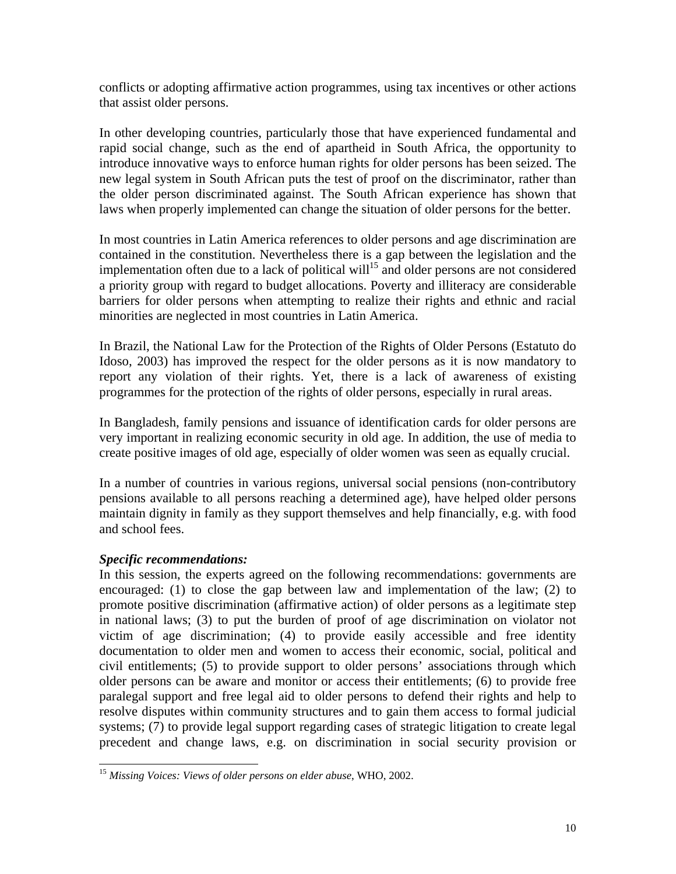conflicts or adopting affirmative action programmes, using tax incentives or other actions that assist older persons.

In other developing countries, particularly those that have experienced fundamental and rapid social change, such as the end of apartheid in South Africa, the opportunity to introduce innovative ways to enforce human rights for older persons has been seized. The new legal system in South African puts the test of proof on the discriminator, rather than the older person discriminated against. The South African experience has shown that laws when properly implemented can change the situation of older persons for the better.

In most countries in Latin America references to older persons and age discrimination are contained in the constitution. Nevertheless there is a gap between the legislation and the implementation often due to a lack of political will<sup>15</sup> and older persons are not considered a priority group with regard to budget allocations. Poverty and illiteracy are considerable barriers for older persons when attempting to realize their rights and ethnic and racial minorities are neglected in most countries in Latin America.

In Brazil, the National Law for the Protection of the Rights of Older Persons (Estatuto do Idoso, 2003) has improved the respect for the older persons as it is now mandatory to report any violation of their rights. Yet, there is a lack of awareness of existing programmes for the protection of the rights of older persons, especially in rural areas.

In Bangladesh, family pensions and issuance of identification cards for older persons are very important in realizing economic security in old age. In addition, the use of media to create positive images of old age, especially of older women was seen as equally crucial.

In a number of countries in various regions, universal social pensions (non-contributory pensions available to all persons reaching a determined age), have helped older persons maintain dignity in family as they support themselves and help financially, e.g. with food and school fees.

# *Specific recommendations:*

 $\overline{\phantom{a}}$ 

In this session, the experts agreed on the following recommendations: governments are encouraged: (1) to close the gap between law and implementation of the law; (2) to promote positive discrimination (affirmative action) of older persons as a legitimate step in national laws; (3) to put the burden of proof of age discrimination on violator not victim of age discrimination; (4) to provide easily accessible and free identity documentation to older men and women to access their economic, social, political and civil entitlements; (5) to provide support to older persons' associations through which older persons can be aware and monitor or access their entitlements; (6) to provide free paralegal support and free legal aid to older persons to defend their rights and help to resolve disputes within community structures and to gain them access to formal judicial systems; (7) to provide legal support regarding cases of strategic litigation to create legal precedent and change laws, e.g. on discrimination in social security provision or

<sup>15</sup> *Missing Voices: Views of older persons on elder abuse*, WHO, 2002.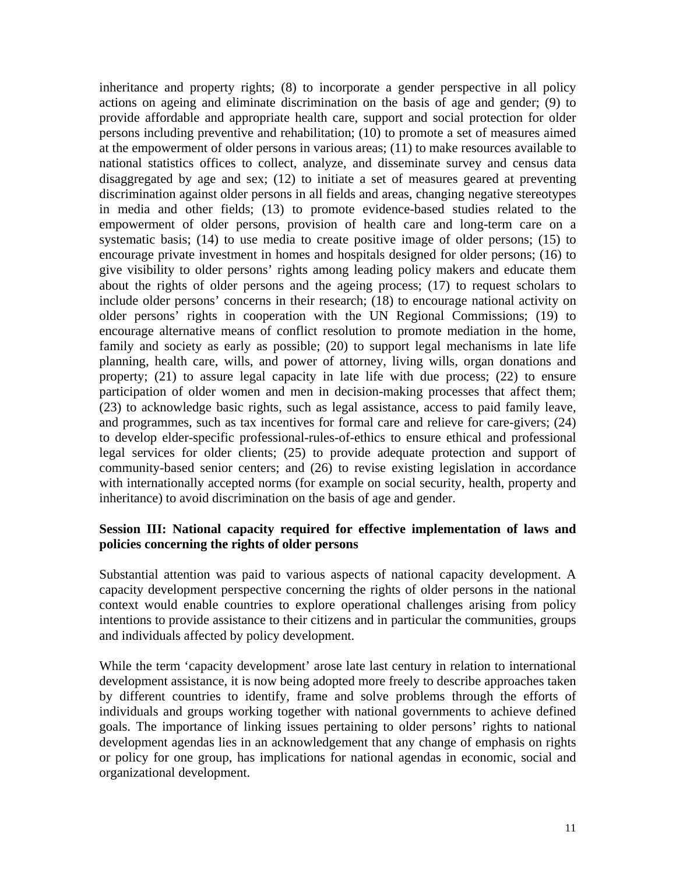inheritance and property rights; (8) to incorporate a gender perspective in all policy actions on ageing and eliminate discrimination on the basis of age and gender; (9) to provide affordable and appropriate health care, support and social protection for older persons including preventive and rehabilitation; (10) to promote a set of measures aimed at the empowerment of older persons in various areas; (11) to make resources available to national statistics offices to collect, analyze, and disseminate survey and census data disaggregated by age and sex; (12) to initiate a set of measures geared at preventing discrimination against older persons in all fields and areas, changing negative stereotypes in media and other fields; (13) to promote evidence-based studies related to the empowerment of older persons, provision of health care and long-term care on a systematic basis; (14) to use media to create positive image of older persons; (15) to encourage private investment in homes and hospitals designed for older persons; (16) to give visibility to older persons' rights among leading policy makers and educate them about the rights of older persons and the ageing process; (17) to request scholars to include older persons' concerns in their research; (18) to encourage national activity on older persons' rights in cooperation with the UN Regional Commissions; (19) to encourage alternative means of conflict resolution to promote mediation in the home, family and society as early as possible; (20) to support legal mechanisms in late life planning, health care, wills, and power of attorney, living wills, organ donations and property; (21) to assure legal capacity in late life with due process; (22) to ensure participation of older women and men in decision-making processes that affect them; (23) to acknowledge basic rights, such as legal assistance, access to paid family leave, and programmes, such as tax incentives for formal care and relieve for care-givers; (24) to develop elder-specific professional-rules-of-ethics to ensure ethical and professional legal services for older clients; (25) to provide adequate protection and support of community-based senior centers; and (26) to revise existing legislation in accordance with internationally accepted norms (for example on social security, health, property and inheritance) to avoid discrimination on the basis of age and gender.

## **Session III: National capacity required for effective implementation of laws and policies concerning the rights of older persons**

Substantial attention was paid to various aspects of national capacity development. A capacity development perspective concerning the rights of older persons in the national context would enable countries to explore operational challenges arising from policy intentions to provide assistance to their citizens and in particular the communities, groups and individuals affected by policy development.

While the term 'capacity development' arose late last century in relation to international development assistance, it is now being adopted more freely to describe approaches taken by different countries to identify, frame and solve problems through the efforts of individuals and groups working together with national governments to achieve defined goals. The importance of linking issues pertaining to older persons' rights to national development agendas lies in an acknowledgement that any change of emphasis on rights or policy for one group, has implications for national agendas in economic, social and organizational development.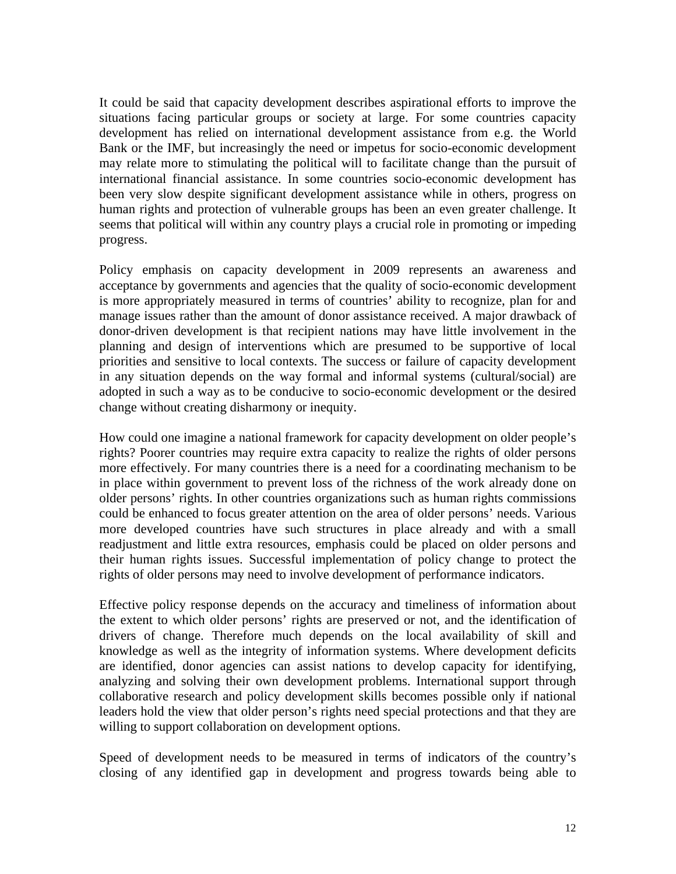It could be said that capacity development describes aspirational efforts to improve the situations facing particular groups or society at large. For some countries capacity development has relied on international development assistance from e.g. the World Bank or the IMF, but increasingly the need or impetus for socio-economic development may relate more to stimulating the political will to facilitate change than the pursuit of international financial assistance. In some countries socio-economic development has been very slow despite significant development assistance while in others, progress on human rights and protection of vulnerable groups has been an even greater challenge. It seems that political will within any country plays a crucial role in promoting or impeding progress.

Policy emphasis on capacity development in 2009 represents an awareness and acceptance by governments and agencies that the quality of socio-economic development is more appropriately measured in terms of countries' ability to recognize, plan for and manage issues rather than the amount of donor assistance received. A major drawback of donor-driven development is that recipient nations may have little involvement in the planning and design of interventions which are presumed to be supportive of local priorities and sensitive to local contexts. The success or failure of capacity development in any situation depends on the way formal and informal systems (cultural/social) are adopted in such a way as to be conducive to socio-economic development or the desired change without creating disharmony or inequity.

How could one imagine a national framework for capacity development on older people's rights? Poorer countries may require extra capacity to realize the rights of older persons more effectively. For many countries there is a need for a coordinating mechanism to be in place within government to prevent loss of the richness of the work already done on older persons' rights. In other countries organizations such as human rights commissions could be enhanced to focus greater attention on the area of older persons' needs. Various more developed countries have such structures in place already and with a small readjustment and little extra resources, emphasis could be placed on older persons and their human rights issues. Successful implementation of policy change to protect the rights of older persons may need to involve development of performance indicators.

Effective policy response depends on the accuracy and timeliness of information about the extent to which older persons' rights are preserved or not, and the identification of drivers of change. Therefore much depends on the local availability of skill and knowledge as well as the integrity of information systems. Where development deficits are identified, donor agencies can assist nations to develop capacity for identifying, analyzing and solving their own development problems. International support through collaborative research and policy development skills becomes possible only if national leaders hold the view that older person's rights need special protections and that they are willing to support collaboration on development options.

Speed of development needs to be measured in terms of indicators of the country's closing of any identified gap in development and progress towards being able to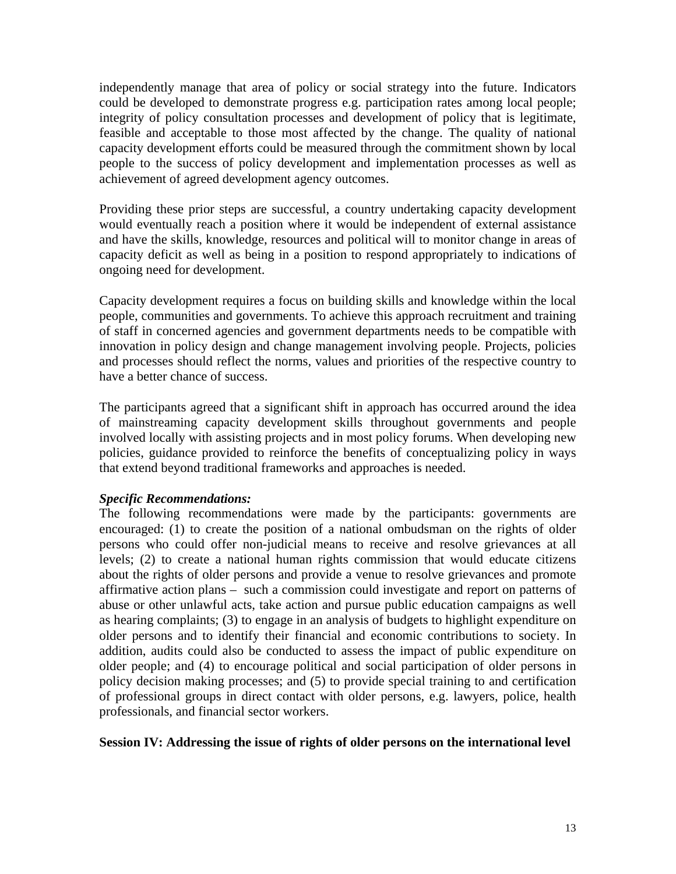independently manage that area of policy or social strategy into the future. Indicators could be developed to demonstrate progress e.g. participation rates among local people; integrity of policy consultation processes and development of policy that is legitimate, feasible and acceptable to those most affected by the change. The quality of national capacity development efforts could be measured through the commitment shown by local people to the success of policy development and implementation processes as well as achievement of agreed development agency outcomes.

Providing these prior steps are successful, a country undertaking capacity development would eventually reach a position where it would be independent of external assistance and have the skills, knowledge, resources and political will to monitor change in areas of capacity deficit as well as being in a position to respond appropriately to indications of ongoing need for development.

Capacity development requires a focus on building skills and knowledge within the local people, communities and governments. To achieve this approach recruitment and training of staff in concerned agencies and government departments needs to be compatible with innovation in policy design and change management involving people. Projects, policies and processes should reflect the norms, values and priorities of the respective country to have a better chance of success.

The participants agreed that a significant shift in approach has occurred around the idea of mainstreaming capacity development skills throughout governments and people involved locally with assisting projects and in most policy forums. When developing new policies, guidance provided to reinforce the benefits of conceptualizing policy in ways that extend beyond traditional frameworks and approaches is needed.

#### *Specific Recommendations:*

The following recommendations were made by the participants: governments are encouraged: (1) to create the position of a national ombudsman on the rights of older persons who could offer non-judicial means to receive and resolve grievances at all levels; (2) to create a national human rights commission that would educate citizens about the rights of older persons and provide a venue to resolve grievances and promote affirmative action plans – such a commission could investigate and report on patterns of abuse or other unlawful acts, take action and pursue public education campaigns as well as hearing complaints; (3) to engage in an analysis of budgets to highlight expenditure on older persons and to identify their financial and economic contributions to society. In addition, audits could also be conducted to assess the impact of public expenditure on older people; and (4) to encourage political and social participation of older persons in policy decision making processes; and (5) to provide special training to and certification of professional groups in direct contact with older persons, e.g. lawyers, police, health professionals, and financial sector workers.

#### **Session IV: Addressing the issue of rights of older persons on the international level**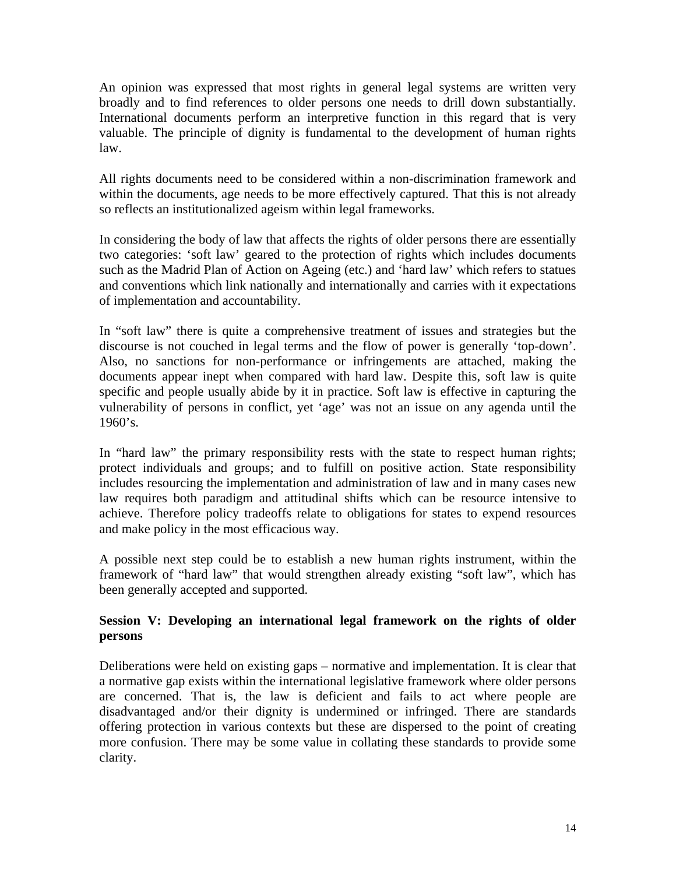An opinion was expressed that most rights in general legal systems are written very broadly and to find references to older persons one needs to drill down substantially. International documents perform an interpretive function in this regard that is very valuable. The principle of dignity is fundamental to the development of human rights law.

All rights documents need to be considered within a non-discrimination framework and within the documents, age needs to be more effectively captured. That this is not already so reflects an institutionalized ageism within legal frameworks.

In considering the body of law that affects the rights of older persons there are essentially two categories: 'soft law' geared to the protection of rights which includes documents such as the Madrid Plan of Action on Ageing (etc.) and 'hard law' which refers to statues and conventions which link nationally and internationally and carries with it expectations of implementation and accountability.

In "soft law" there is quite a comprehensive treatment of issues and strategies but the discourse is not couched in legal terms and the flow of power is generally 'top-down'. Also, no sanctions for non-performance or infringements are attached, making the documents appear inept when compared with hard law. Despite this, soft law is quite specific and people usually abide by it in practice. Soft law is effective in capturing the vulnerability of persons in conflict, yet 'age' was not an issue on any agenda until the  $1960$ 's.

In "hard law" the primary responsibility rests with the state to respect human rights; protect individuals and groups; and to fulfill on positive action. State responsibility includes resourcing the implementation and administration of law and in many cases new law requires both paradigm and attitudinal shifts which can be resource intensive to achieve. Therefore policy tradeoffs relate to obligations for states to expend resources and make policy in the most efficacious way.

A possible next step could be to establish a new human rights instrument, within the framework of "hard law" that would strengthen already existing "soft law", which has been generally accepted and supported.

# **Session V: Developing an international legal framework on the rights of older persons**

Deliberations were held on existing gaps – normative and implementation. It is clear that a normative gap exists within the international legislative framework where older persons are concerned. That is, the law is deficient and fails to act where people are disadvantaged and/or their dignity is undermined or infringed. There are standards offering protection in various contexts but these are dispersed to the point of creating more confusion. There may be some value in collating these standards to provide some clarity.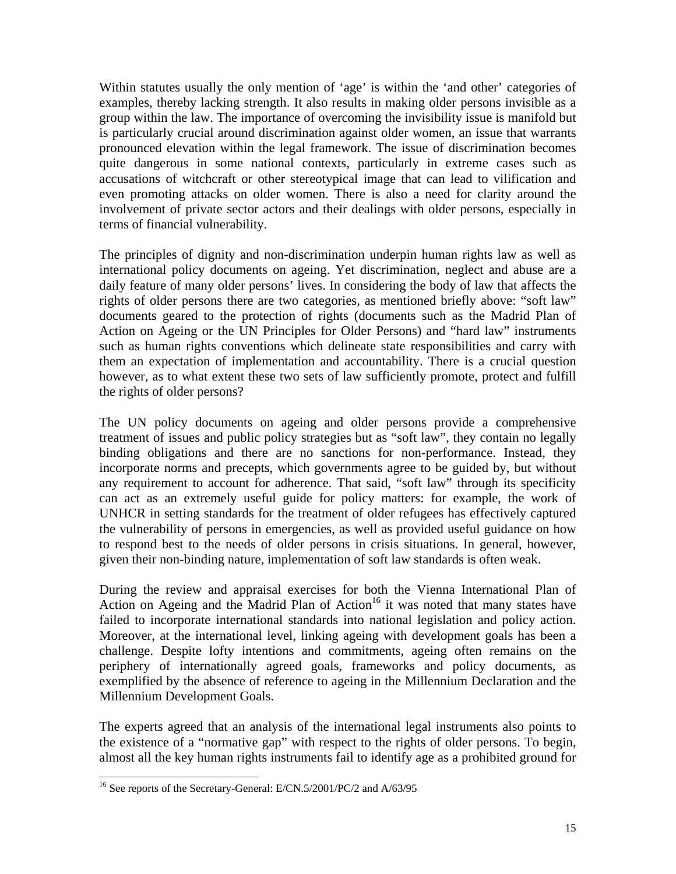Within statutes usually the only mention of 'age' is within the 'and other' categories of examples, thereby lacking strength. It also results in making older persons invisible as a group within the law. The importance of overcoming the invisibility issue is manifold but is particularly crucial around discrimination against older women, an issue that warrants pronounced elevation within the legal framework. The issue of discrimination becomes quite dangerous in some national contexts, particularly in extreme cases such as accusations of witchcraft or other stereotypical image that can lead to vilification and even promoting attacks on older women. There is also a need for clarity around the involvement of private sector actors and their dealings with older persons, especially in terms of financial vulnerability.

The principles of dignity and non-discrimination underpin human rights law as well as international policy documents on ageing. Yet discrimination, neglect and abuse are a daily feature of many older persons' lives. In considering the body of law that affects the rights of older persons there are two categories, as mentioned briefly above: "soft law" documents geared to the protection of rights (documents such as the Madrid Plan of Action on Ageing or the UN Principles for Older Persons) and "hard law" instruments such as human rights conventions which delineate state responsibilities and carry with them an expectation of implementation and accountability. There is a crucial question however, as to what extent these two sets of law sufficiently promote, protect and fulfill the rights of older persons?

The UN policy documents on ageing and older persons provide a comprehensive treatment of issues and public policy strategies but as "soft law", they contain no legally binding obligations and there are no sanctions for non-performance. Instead, they incorporate norms and precepts, which governments agree to be guided by, but without any requirement to account for adherence. That said, "soft law" through its specificity can act as an extremely useful guide for policy matters: for example, the work of UNHCR in setting standards for the treatment of older refugees has effectively captured the vulnerability of persons in emergencies, as well as provided useful guidance on how to respond best to the needs of older persons in crisis situations. In general, however, given their non-binding nature, implementation of soft law standards is often weak.

During the review and appraisal exercises for both the Vienna International Plan of Action on Ageing and the Madrid Plan of Action<sup>16</sup> it was noted that many states have failed to incorporate international standards into national legislation and policy action. Moreover, at the international level, linking ageing with development goals has been a challenge. Despite lofty intentions and commitments, ageing often remains on the periphery of internationally agreed goals, frameworks and policy documents, as exemplified by the absence of reference to ageing in the Millennium Declaration and the Millennium Development Goals.

The experts agreed that an analysis of the international legal instruments also points to the existence of a "normative gap" with respect to the rights of older persons. To begin, almost all the key human rights instruments fail to identify age as a prohibited ground for

 $\overline{\phantom{a}}$ 16 See reports of the Secretary-General: E/CN.5/2001/PC/2 and A/63/95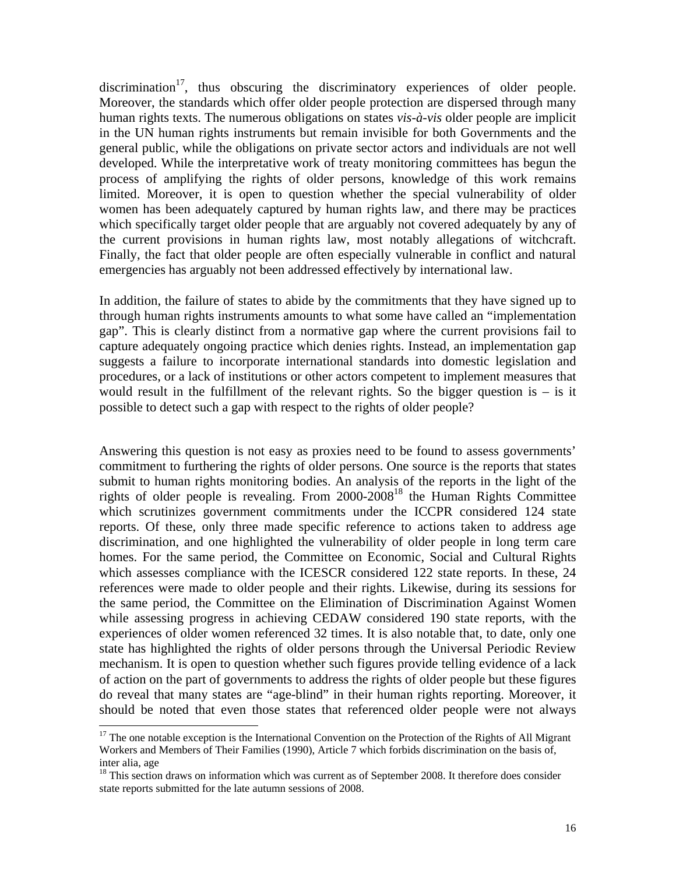$discrimination<sup>17</sup>$ , thus obscuring the discriminatory experiences of older people. Moreover, the standards which offer older people protection are dispersed through many human rights texts. The numerous obligations on states *vis-à-vis* older people are implicit in the UN human rights instruments but remain invisible for both Governments and the general public, while the obligations on private sector actors and individuals are not well developed. While the interpretative work of treaty monitoring committees has begun the process of amplifying the rights of older persons, knowledge of this work remains limited. Moreover, it is open to question whether the special vulnerability of older women has been adequately captured by human rights law, and there may be practices which specifically target older people that are arguably not covered adequately by any of the current provisions in human rights law, most notably allegations of witchcraft. Finally, the fact that older people are often especially vulnerable in conflict and natural emergencies has arguably not been addressed effectively by international law.

In addition, the failure of states to abide by the commitments that they have signed up to through human rights instruments amounts to what some have called an "implementation gap". This is clearly distinct from a normative gap where the current provisions fail to capture adequately ongoing practice which denies rights. Instead, an implementation gap suggests a failure to incorporate international standards into domestic legislation and procedures, or a lack of institutions or other actors competent to implement measures that would result in the fulfillment of the relevant rights. So the bigger question is  $-$  is it possible to detect such a gap with respect to the rights of older people?

Answering this question is not easy as proxies need to be found to assess governments' commitment to furthering the rights of older persons. One source is the reports that states submit to human rights monitoring bodies. An analysis of the reports in the light of the rights of older people is revealing. From 2000-200818 the Human Rights Committee which scrutinizes government commitments under the ICCPR considered 124 state reports. Of these, only three made specific reference to actions taken to address age discrimination, and one highlighted the vulnerability of older people in long term care homes. For the same period, the Committee on Economic, Social and Cultural Rights which assesses compliance with the ICESCR considered 122 state reports. In these, 24 references were made to older people and their rights. Likewise, during its sessions for the same period, the Committee on the Elimination of Discrimination Against Women while assessing progress in achieving CEDAW considered 190 state reports, with the experiences of older women referenced 32 times. It is also notable that, to date, only one state has highlighted the rights of older persons through the Universal Periodic Review mechanism. It is open to question whether such figures provide telling evidence of a lack of action on the part of governments to address the rights of older people but these figures do reveal that many states are "age-blind" in their human rights reporting. Moreover, it should be noted that even those states that referenced older people were not always

 $\overline{\phantom{a}}$ 

 $17$  The one notable exception is the International Convention on the Protection of the Rights of All Migrant Workers and Members of Their Families (1990), Article 7 which forbids discrimination on the basis of, inter alia, age

<sup>&</sup>lt;sup>18</sup> This section draws on information which was current as of September 2008. It therefore does consider state reports submitted for the late autumn sessions of 2008.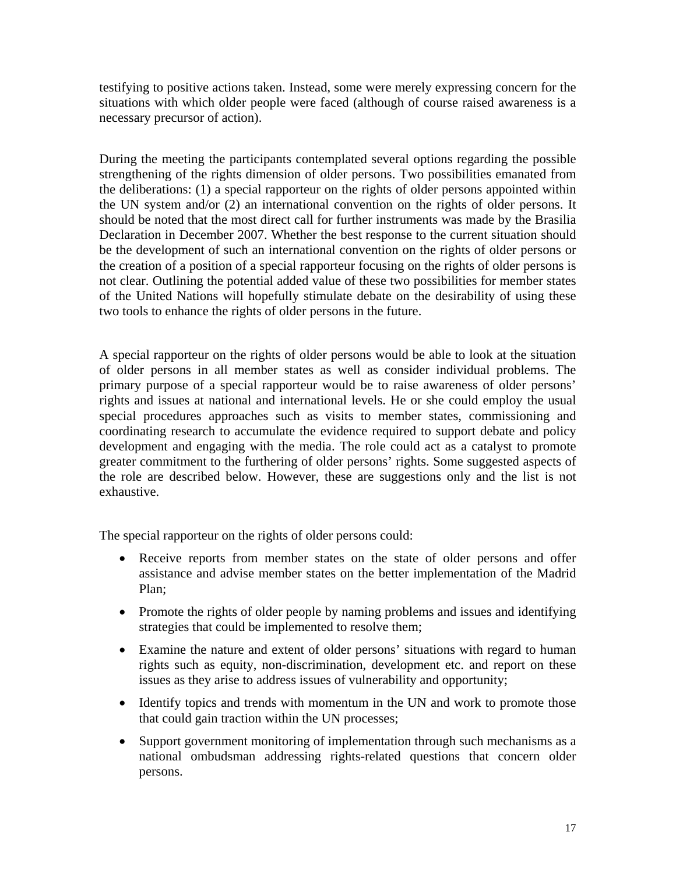testifying to positive actions taken. Instead, some were merely expressing concern for the situations with which older people were faced (although of course raised awareness is a necessary precursor of action).

During the meeting the participants contemplated several options regarding the possible strengthening of the rights dimension of older persons. Two possibilities emanated from the deliberations: (1) a special rapporteur on the rights of older persons appointed within the UN system and/or (2) an international convention on the rights of older persons. It should be noted that the most direct call for further instruments was made by the Brasilia Declaration in December 2007. Whether the best response to the current situation should be the development of such an international convention on the rights of older persons or the creation of a position of a special rapporteur focusing on the rights of older persons is not clear. Outlining the potential added value of these two possibilities for member states of the United Nations will hopefully stimulate debate on the desirability of using these two tools to enhance the rights of older persons in the future.

A special rapporteur on the rights of older persons would be able to look at the situation of older persons in all member states as well as consider individual problems. The primary purpose of a special rapporteur would be to raise awareness of older persons' rights and issues at national and international levels. He or she could employ the usual special procedures approaches such as visits to member states, commissioning and coordinating research to accumulate the evidence required to support debate and policy development and engaging with the media. The role could act as a catalyst to promote greater commitment to the furthering of older persons' rights. Some suggested aspects of the role are described below. However, these are suggestions only and the list is not exhaustive.

The special rapporteur on the rights of older persons could:

- Receive reports from member states on the state of older persons and offer assistance and advise member states on the better implementation of the Madrid Plan;
- Promote the rights of older people by naming problems and issues and identifying strategies that could be implemented to resolve them;
- Examine the nature and extent of older persons' situations with regard to human rights such as equity, non-discrimination, development etc. and report on these issues as they arise to address issues of vulnerability and opportunity;
- Identify topics and trends with momentum in the UN and work to promote those that could gain traction within the UN processes;
- Support government monitoring of implementation through such mechanisms as a national ombudsman addressing rights-related questions that concern older persons.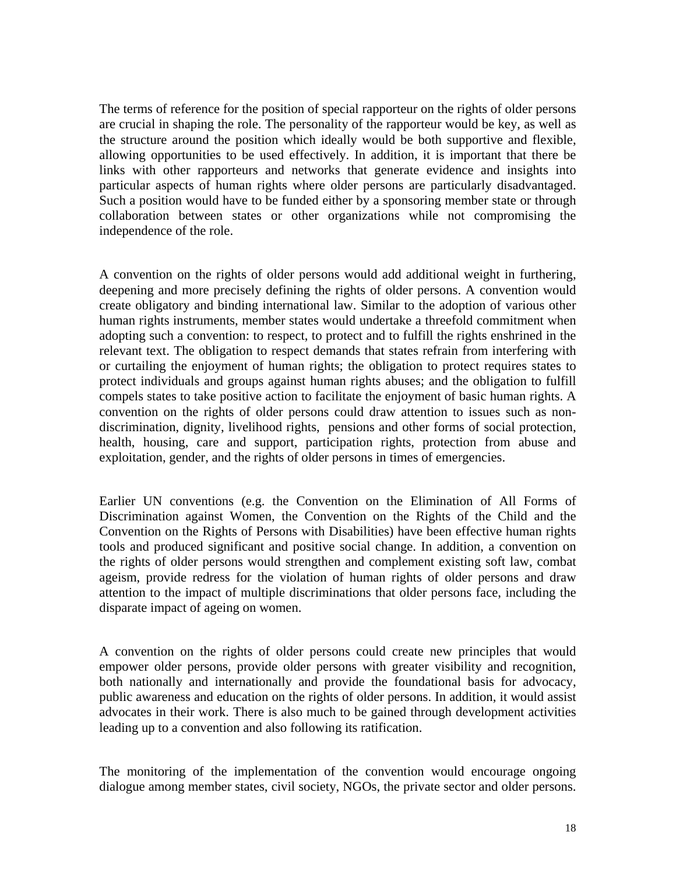The terms of reference for the position of special rapporteur on the rights of older persons are crucial in shaping the role. The personality of the rapporteur would be key, as well as the structure around the position which ideally would be both supportive and flexible, allowing opportunities to be used effectively. In addition, it is important that there be links with other rapporteurs and networks that generate evidence and insights into particular aspects of human rights where older persons are particularly disadvantaged. Such a position would have to be funded either by a sponsoring member state or through collaboration between states or other organizations while not compromising the independence of the role.

A convention on the rights of older persons would add additional weight in furthering, deepening and more precisely defining the rights of older persons. A convention would create obligatory and binding international law. Similar to the adoption of various other human rights instruments, member states would undertake a threefold commitment when adopting such a convention: to respect, to protect and to fulfill the rights enshrined in the relevant text. The obligation to respect demands that states refrain from interfering with or curtailing the enjoyment of human rights; the obligation to protect requires states to protect individuals and groups against human rights abuses; and the obligation to fulfill compels states to take positive action to facilitate the enjoyment of basic human rights. A convention on the rights of older persons could draw attention to issues such as nondiscrimination, dignity, livelihood rights, pensions and other forms of social protection, health, housing, care and support, participation rights, protection from abuse and exploitation, gender, and the rights of older persons in times of emergencies.

Earlier UN conventions (e.g. the Convention on the Elimination of All Forms of Discrimination against Women, the Convention on the Rights of the Child and the Convention on the Rights of Persons with Disabilities) have been effective human rights tools and produced significant and positive social change. In addition, a convention on the rights of older persons would strengthen and complement existing soft law, combat ageism, provide redress for the violation of human rights of older persons and draw attention to the impact of multiple discriminations that older persons face, including the disparate impact of ageing on women.

A convention on the rights of older persons could create new principles that would empower older persons, provide older persons with greater visibility and recognition, both nationally and internationally and provide the foundational basis for advocacy, public awareness and education on the rights of older persons. In addition, it would assist advocates in their work. There is also much to be gained through development activities leading up to a convention and also following its ratification.

The monitoring of the implementation of the convention would encourage ongoing dialogue among member states, civil society, NGOs, the private sector and older persons.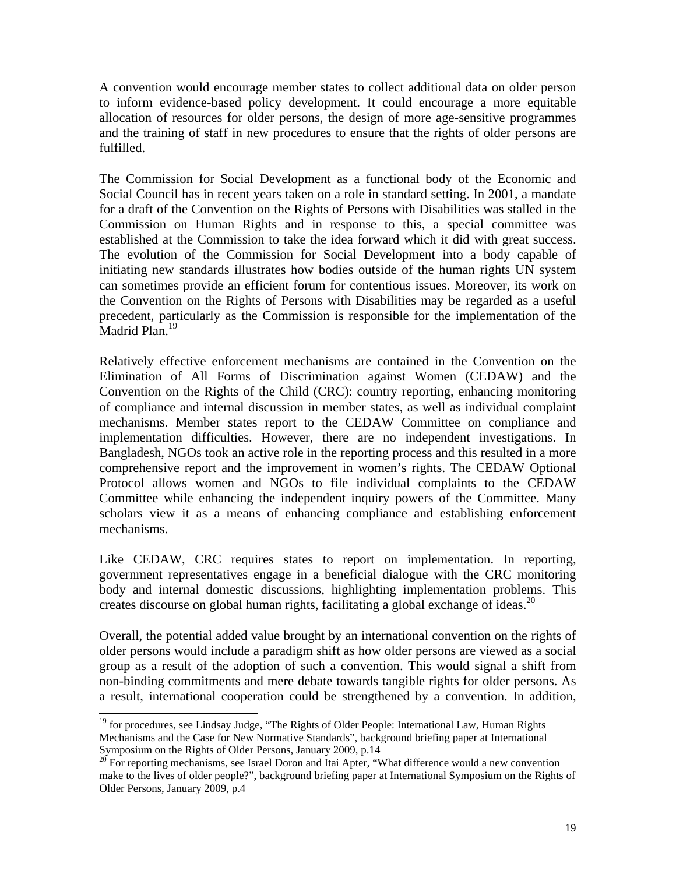A convention would encourage member states to collect additional data on older person to inform evidence-based policy development. It could encourage a more equitable allocation of resources for older persons, the design of more age-sensitive programmes and the training of staff in new procedures to ensure that the rights of older persons are fulfilled.

The Commission for Social Development as a functional body of the Economic and Social Council has in recent years taken on a role in standard setting. In 2001, a mandate for a draft of the Convention on the Rights of Persons with Disabilities was stalled in the Commission on Human Rights and in response to this, a special committee was established at the Commission to take the idea forward which it did with great success. The evolution of the Commission for Social Development into a body capable of initiating new standards illustrates how bodies outside of the human rights UN system can sometimes provide an efficient forum for contentious issues. Moreover, its work on the Convention on the Rights of Persons with Disabilities may be regarded as a useful precedent, particularly as the Commission is responsible for the implementation of the Madrid Plan.<sup>19</sup>

Relatively effective enforcement mechanisms are contained in the Convention on the Elimination of All Forms of Discrimination against Women (CEDAW) and the Convention on the Rights of the Child (CRC): country reporting, enhancing monitoring of compliance and internal discussion in member states, as well as individual complaint mechanisms. Member states report to the CEDAW Committee on compliance and implementation difficulties. However, there are no independent investigations. In Bangladesh, NGOs took an active role in the reporting process and this resulted in a more comprehensive report and the improvement in women's rights. The CEDAW Optional Protocol allows women and NGOs to file individual complaints to the CEDAW Committee while enhancing the independent inquiry powers of the Committee. Many scholars view it as a means of enhancing compliance and establishing enforcement mechanisms.

Like CEDAW, CRC requires states to report on implementation. In reporting, government representatives engage in a beneficial dialogue with the CRC monitoring body and internal domestic discussions, highlighting implementation problems. This creates discourse on global human rights, facilitating a global exchange of ideas.<sup>20</sup>

Overall, the potential added value brought by an international convention on the rights of older persons would include a paradigm shift as how older persons are viewed as a social group as a result of the adoption of such a convention. This would signal a shift from non-binding commitments and mere debate towards tangible rights for older persons. As a result, international cooperation could be strengthened by a convention. In addition,

l

<sup>&</sup>lt;sup>19</sup> for procedures, see Lindsay Judge, "The Rights of Older People: International Law, Human Rights Mechanisms and the Case for New Normative Standards", background briefing paper at International Symposium on the Rights of Older Persons, January 2009, p.14

<sup>&</sup>lt;sup>20</sup> For reporting mechanisms, see Israel Doron and Itai Apter, "What difference would a new convention make to the lives of older people?", background briefing paper at International Symposium on the Rights of Older Persons, January 2009, p.4